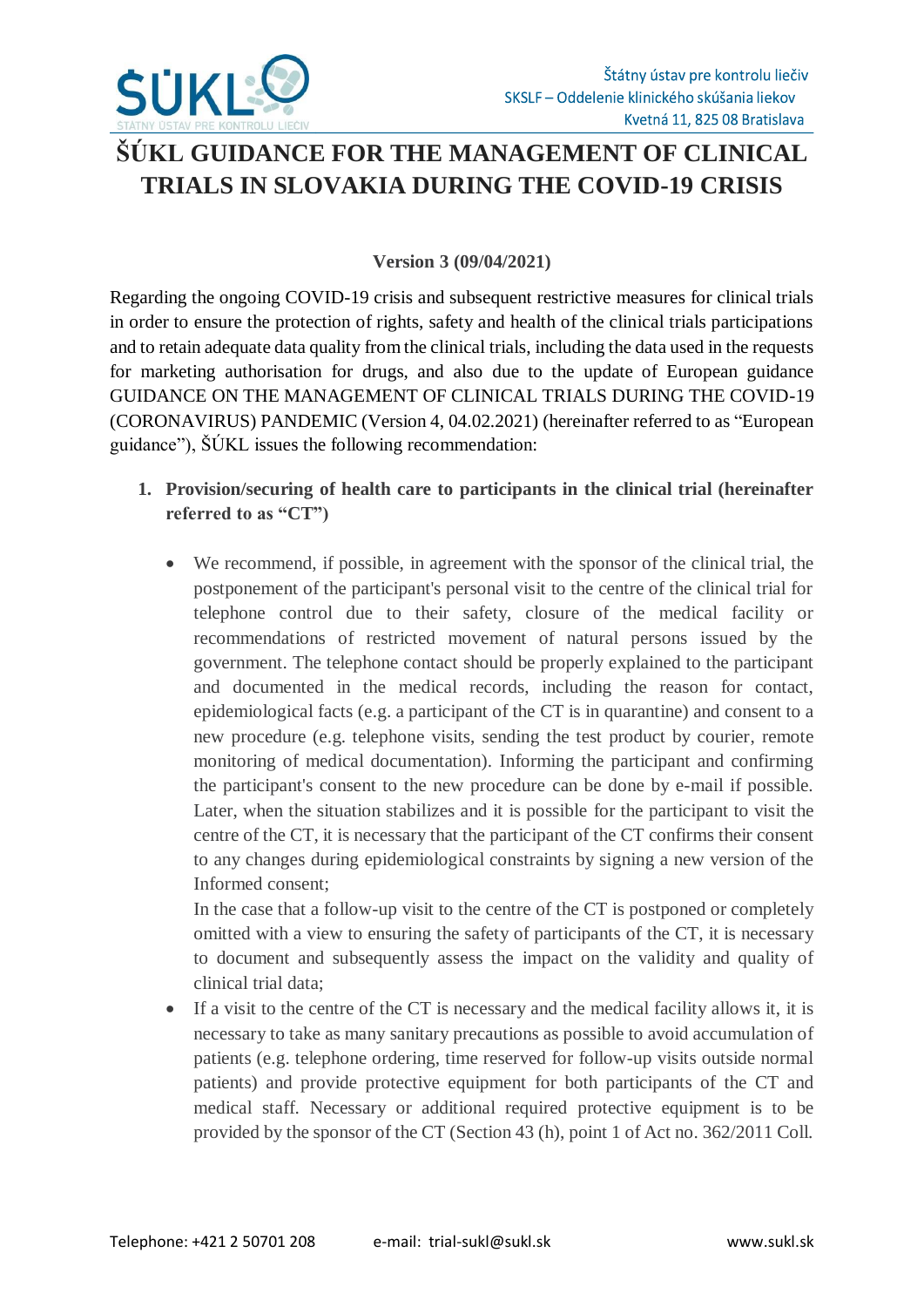

## **ŠÚKL GUIDANCE FOR THE MANAGEMENT OF CLINICAL TRIALS IN SLOVAKIA DURING THE COVID-19 CRISIS**

## **Version 3 (09/04/2021)**

Regarding the ongoing COVID-19 crisis and subsequent restrictive measures for clinical trials in order to ensure the protection of rights, safety and health of the clinical trials participations and to retain adequate data quality from the clinical trials, including the data used in the requests for marketing authorisation for drugs, and also due to the update of European guidance GUIDANCE ON THE MANAGEMENT OF CLINICAL TRIALS DURING THE COVID-19 (CORONAVIRUS) PANDEMIC (Version 4, 04.02.2021) (hereinafter referred to as "European guidance"), ŠÚKL issues the following recommendation:

- **1. Provision/securing of health care to participants in the clinical trial (hereinafter referred to as "CT")**
	- We recommend, if possible, in agreement with the sponsor of the clinical trial, the postponement of the participant's personal visit to the centre of the clinical trial for telephone control due to their safety, closure of the medical facility or recommendations of restricted movement of natural persons issued by the government. The telephone contact should be properly explained to the participant and documented in the medical records, including the reason for contact, epidemiological facts (e.g. a participant of the CT is in quarantine) and consent to a new procedure (e.g. telephone visits, sending the test product by courier, remote monitoring of medical documentation). Informing the participant and confirming the participant's consent to the new procedure can be done by e-mail if possible. Later, when the situation stabilizes and it is possible for the participant to visit the centre of the CT, it is necessary that the participant of the CT confirms their consent to any changes during epidemiological constraints by signing a new version of the Informed consent;

In the case that a follow-up visit to the centre of the CT is postponed or completely omitted with a view to ensuring the safety of participants of the CT, it is necessary to document and subsequently assess the impact on the validity and quality of clinical trial data;

 If a visit to the centre of the CT is necessary and the medical facility allows it, it is necessary to take as many sanitary precautions as possible to avoid accumulation of patients (e.g. telephone ordering, time reserved for follow-up visits outside normal patients) and provide protective equipment for both participants of the CT and medical staff. Necessary or additional required protective equipment is to be provided by the sponsor of the CT (Section 43 (h), point 1 of Act no. 362/2011 Coll.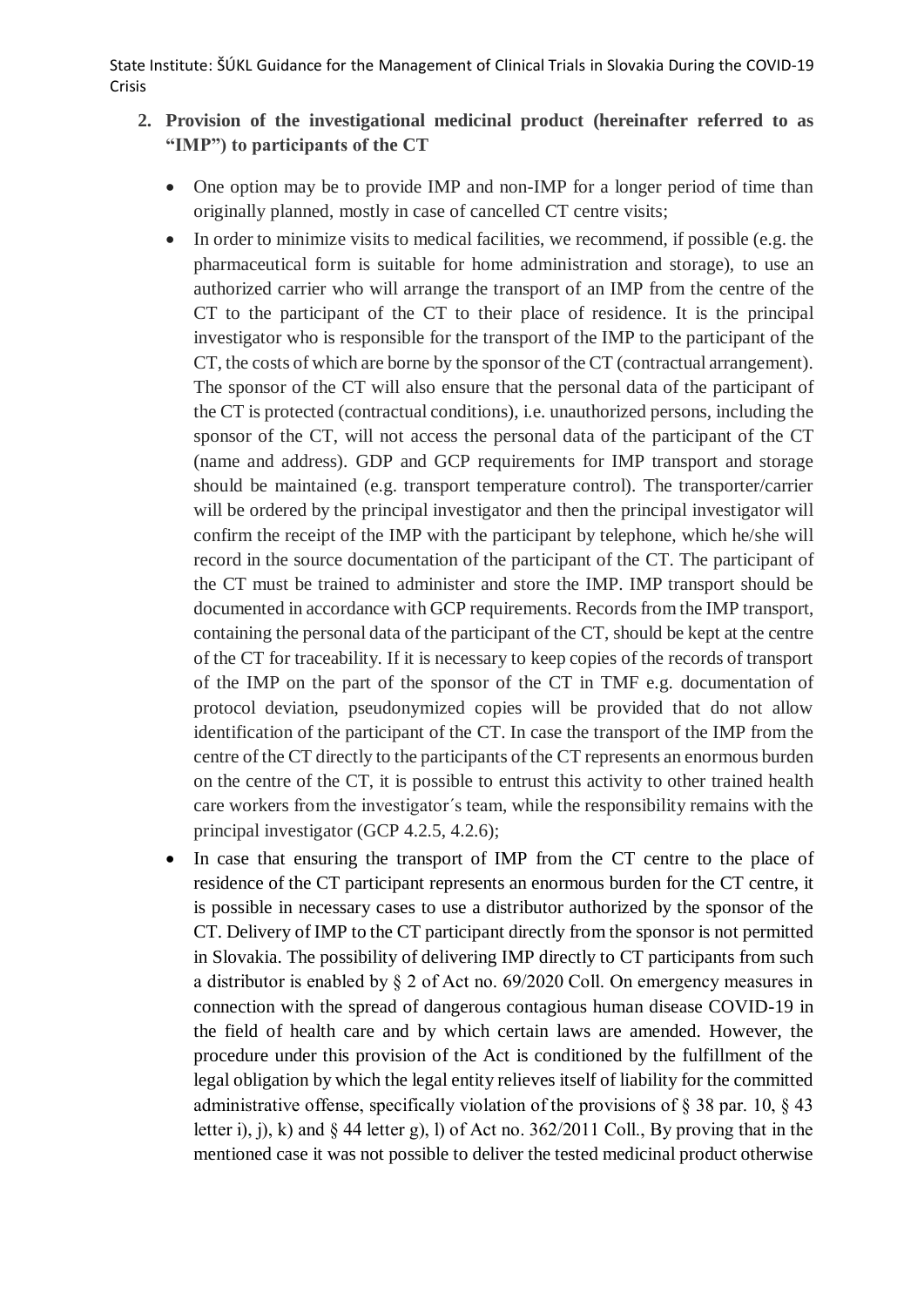- **2. Provision of the investigational medicinal product (hereinafter referred to as "IMP") to participants of the CT**
	- One option may be to provide IMP and non-IMP for a longer period of time than originally planned, mostly in case of cancelled CT centre visits;
	- $\bullet$  In order to minimize visits to medical facilities, we recommend, if possible (e.g. the pharmaceutical form is suitable for home administration and storage), to use an authorized carrier who will arrange the transport of an IMP from the centre of the CT to the participant of the CT to their place of residence. It is the principal investigator who is responsible for the transport of the IMP to the participant of the CT, the costs of which are borne by the sponsor of the CT (contractual arrangement). The sponsor of the CT will also ensure that the personal data of the participant of the CT is protected (contractual conditions), i.e. unauthorized persons, including the sponsor of the CT, will not access the personal data of the participant of the CT (name and address). GDP and GCP requirements for IMP transport and storage should be maintained (e.g. transport temperature control). The transporter/carrier will be ordered by the principal investigator and then the principal investigator will confirm the receipt of the IMP with the participant by telephone, which he/she will record in the source documentation of the participant of the CT. The participant of the CT must be trained to administer and store the IMP. IMP transport should be documented in accordance with GCP requirements. Records from the IMP transport, containing the personal data of the participant of the CT, should be kept at the centre of the CT for traceability. If it is necessary to keep copies of the records of transport of the IMP on the part of the sponsor of the CT in TMF e.g. documentation of protocol deviation, pseudonymized copies will be provided that do not allow identification of the participant of the CT. In case the transport of the IMP from the centre of the CT directly to the participants of the CT represents an enormous burden on the centre of the CT, it is possible to entrust this activity to other trained health care workers from the investigator´s team, while the responsibility remains with the principal investigator (GCP 4.2.5, 4.2.6);
	- In case that ensuring the transport of IMP from the CT centre to the place of residence of the CT participant represents an enormous burden for the CT centre, it is possible in necessary cases to use a distributor authorized by the sponsor of the CT. Delivery of IMP to the CT participant directly from the sponsor is not permitted in Slovakia. The possibility of delivering IMP directly to CT participants from such a distributor is enabled by § 2 of Act no. 69/2020 Coll. On emergency measures in connection with the spread of dangerous contagious human disease COVID-19 in the field of health care and by which certain laws are amended. However, the procedure under this provision of the Act is conditioned by the fulfillment of the legal obligation by which the legal entity relieves itself of liability for the committed administrative offense, specifically violation of the provisions of  $\S$  38 par. 10,  $\S$  43 letter i), j), k) and  $\S$  44 letter g), l) of Act no. 362/2011 Coll., By proving that in the mentioned case it was not possible to deliver the tested medicinal product otherwise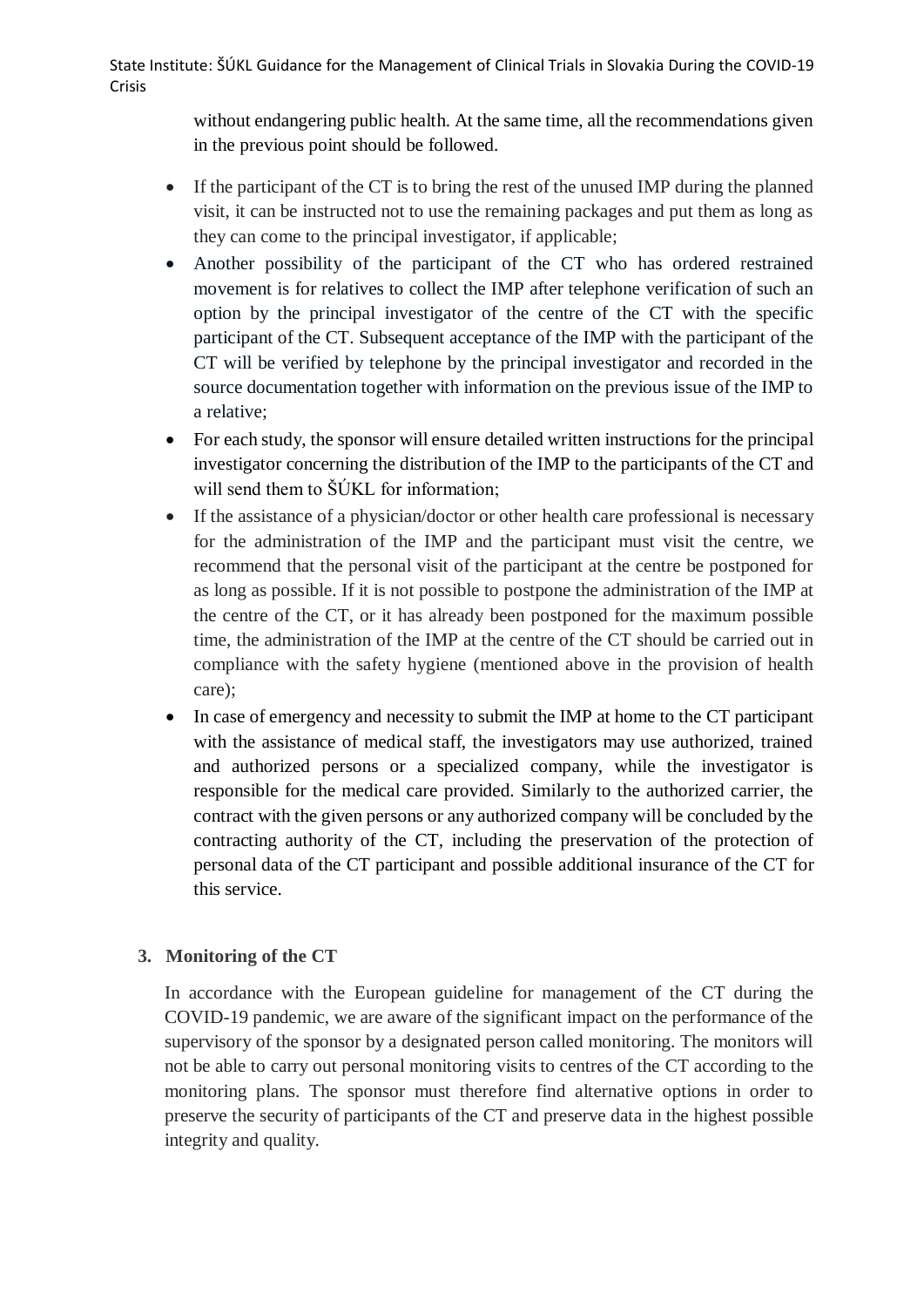> without endangering public health. At the same time, all the recommendations given in the previous point should be followed.

- If the participant of the CT is to bring the rest of the unused IMP during the planned visit, it can be instructed not to use the remaining packages and put them as long as they can come to the principal investigator, if applicable;
- Another possibility of the participant of the CT who has ordered restrained movement is for relatives to collect the IMP after telephone verification of such an option by the principal investigator of the centre of the CT with the specific participant of the CT. Subsequent acceptance of the IMP with the participant of the CT will be verified by telephone by the principal investigator and recorded in the source documentation together with information on the previous issue of the IMP to a relative;
- For each study, the sponsor will ensure detailed written instructions for the principal investigator concerning the distribution of the IMP to the participants of the CT and will send them to  $\check{S}$ UKL for information:
- If the assistance of a physician/doctor or other health care professional is necessary for the administration of the IMP and the participant must visit the centre, we recommend that the personal visit of the participant at the centre be postponed for as long as possible. If it is not possible to postpone the administration of the IMP at the centre of the CT, or it has already been postponed for the maximum possible time, the administration of the IMP at the centre of the CT should be carried out in compliance with the safety hygiene (mentioned above in the provision of health care);
- In case of emergency and necessity to submit the IMP at home to the CT participant with the assistance of medical staff, the investigators may use authorized, trained and authorized persons or a specialized company, while the investigator is responsible for the medical care provided. Similarly to the authorized carrier, the contract with the given persons or any authorized company will be concluded by the contracting authority of the CT, including the preservation of the protection of personal data of the CT participant and possible additional insurance of the CT for this service.

## **3. Monitoring of the CT**

In accordance with the European guideline for management of the CT during the COVID-19 pandemic, we are aware of the significant impact on the performance of the supervisory of the sponsor by a designated person called monitoring. The monitors will not be able to carry out personal monitoring visits to centres of the CT according to the monitoring plans. The sponsor must therefore find alternative options in order to preserve the security of participants of the CT and preserve data in the highest possible integrity and quality.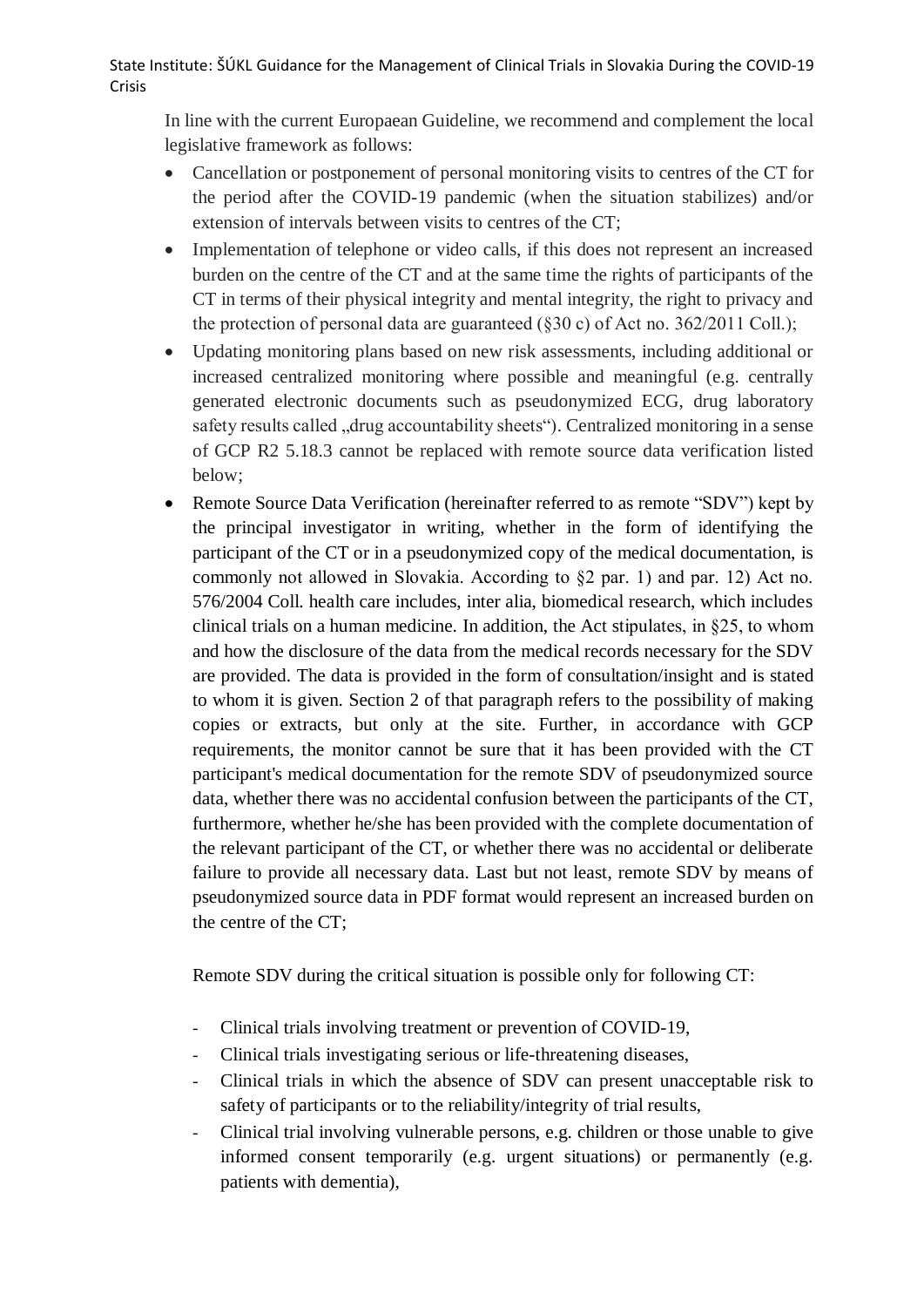In line with the current Europaean Guideline, we recommend and complement the local legislative framework as follows:

- Cancellation or postponement of personal monitoring visits to centres of the CT for the period after the COVID-19 pandemic (when the situation stabilizes) and/or extension of intervals between visits to centres of the CT;
- Implementation of telephone or video calls, if this does not represent an increased burden on the centre of the CT and at the same time the rights of participants of the CT in terms of their physical integrity and mental integrity, the right to privacy and the protection of personal data are guaranteed (§30 c) of Act no. 362/2011 Coll.);
- Updating monitoring plans based on new risk assessments, including additional or increased centralized monitoring where possible and meaningful (e.g. centrally generated electronic documents such as pseudonymized ECG, drug laboratory safety results called "drug accountability sheets"). Centralized monitoring in a sense of GCP R2 5.18.3 cannot be replaced with remote source data verification listed below;
- Remote Source Data Verification (hereinafter referred to as remote "SDV") kept by the principal investigator in writing, whether in the form of identifying the participant of the CT or in a pseudonymized copy of the medical documentation, is commonly not allowed in Slovakia. According to §2 par. 1) and par. 12) Act no. 576/2004 Coll. health care includes, inter alia, biomedical research, which includes clinical trials on a human medicine. In addition, the Act stipulates, in §25, to whom and how the disclosure of the data from the medical records necessary for the SDV are provided. The data is provided in the form of consultation/insight and is stated to whom it is given. Section 2 of that paragraph refers to the possibility of making copies or extracts, but only at the site. Further, in accordance with GCP requirements, the monitor cannot be sure that it has been provided with the CT participant's medical documentation for the remote SDV of pseudonymized source data, whether there was no accidental confusion between the participants of the CT, furthermore, whether he/she has been provided with the complete documentation of the relevant participant of the CT, or whether there was no accidental or deliberate failure to provide all necessary data. Last but not least, remote SDV by means of pseudonymized source data in PDF format would represent an increased burden on the centre of the CT;

Remote SDV during the critical situation is possible only for following CT:

- Clinical trials involving treatment or prevention of COVID-19,
- Clinical trials investigating serious or life-threatening diseases,
- Clinical trials in which the absence of SDV can present unacceptable risk to safety of participants or to the reliability/integrity of trial results,
- Clinical trial involving vulnerable persons, e.g. children or those unable to give informed consent temporarily (e.g. urgent situations) or permanently (e.g. patients with dementia),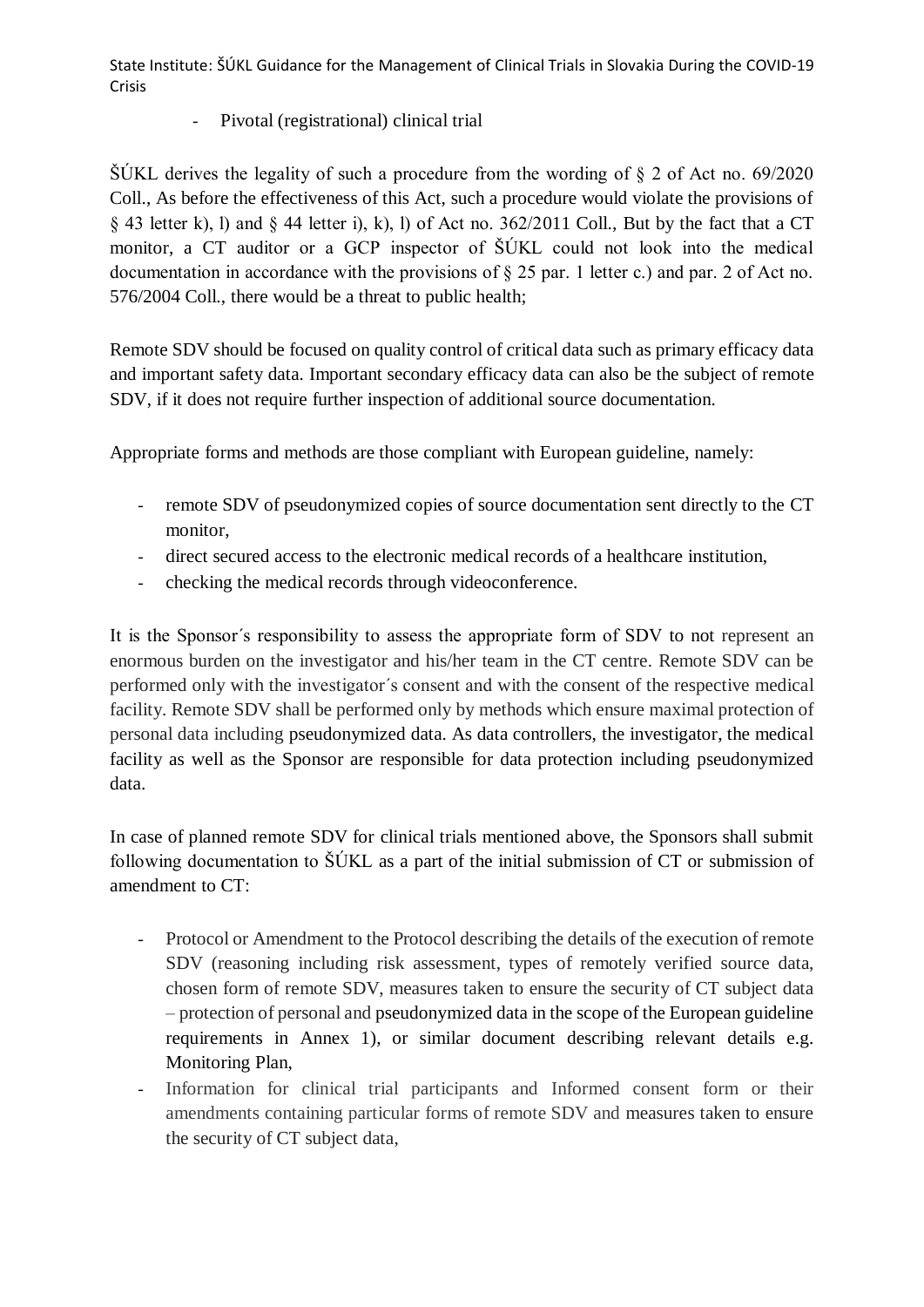## Pivotal (registrational) clinical trial

 $\text{S}$ ÚKL derives the legality of such a procedure from the wording of § 2 of Act no. 69/2020 Coll., As before the effectiveness of this Act, such a procedure would violate the provisions of § 43 letter k), l) and § 44 letter i), k), l) of Act no. 362/2011 Coll., But by the fact that a CT monitor, a CT auditor or a GCP inspector of ŠÚKL could not look into the medical documentation in accordance with the provisions of § 25 par. 1 letter c.) and par. 2 of Act no. 576/2004 Coll., there would be a threat to public health;

Remote SDV should be focused on quality control of critical data such as primary efficacy data and important safety data. Important secondary efficacy data can also be the subject of remote SDV, if it does not require further inspection of additional source documentation.

Appropriate forms and methods are those compliant with European guideline, namely:

- remote SDV of pseudonymized copies of source documentation sent directly to the CT monitor,
- direct secured access to the electronic medical records of a healthcare institution,
- checking the medical records through videoconference.

It is the Sponsor´s responsibility to assess the appropriate form of SDV to not represent an enormous burden on the investigator and his/her team in the CT centre. Remote SDV can be performed only with the investigator´s consent and with the consent of the respective medical facility. Remote SDV shall be performed only by methods which ensure maximal protection of personal data including pseudonymized data. As data controllers, the investigator, the medical facility as well as the Sponsor are responsible for data protection including pseudonymized data.

In case of planned remote SDV for clinical trials mentioned above, the Sponsors shall submit following documentation to ŠÚKL as a part of the initial submission of CT or submission of amendment to CT:

- Protocol or Amendment to the Protocol describing the details of the execution of remote SDV (reasoning including risk assessment, types of remotely verified source data, chosen form of remote SDV, measures taken to ensure the security of CT subject data – protection of personal and pseudonymized data in the scope of the European guideline requirements in Annex 1), or similar document describing relevant details e.g. Monitoring Plan,
- Information for clinical trial participants and Informed consent form or their amendments containing particular forms of remote SDV and measures taken to ensure the security of CT subject data,